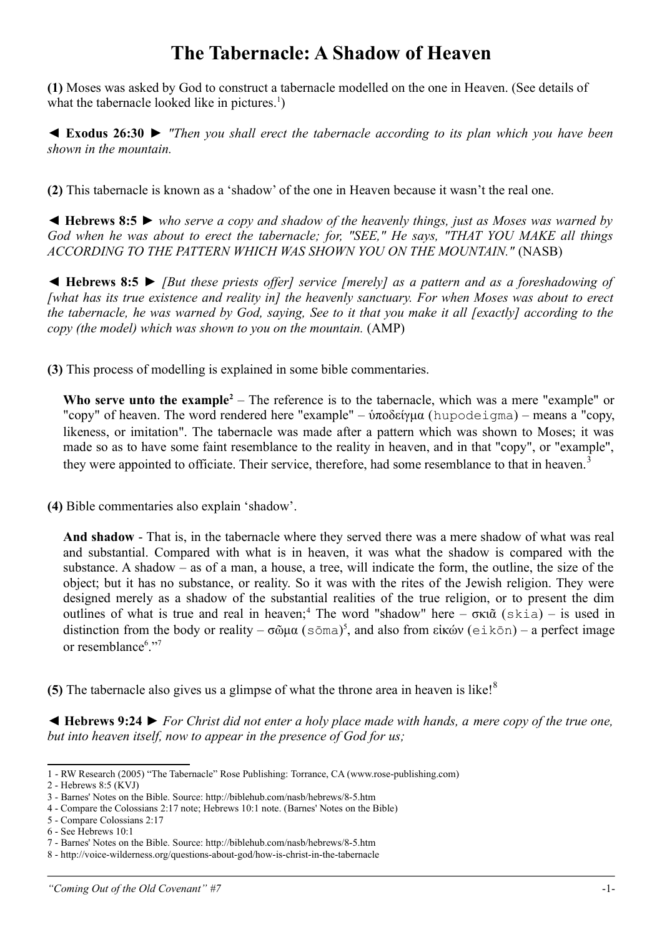## **The Tabernacle: A Shadow of Heaven**

**(1)** Moses was asked by God to construct a tabernacle modelled on the one in Heaven. (See details of what the tabernacle looked like in pictures.<sup>[1](#page-0-0)</sup>)

◄ **Exodus 26:30** ► *"Then you shall erect the tabernacle according to its plan which you have been shown in the mountain.*

**(2)** This tabernacle is known as a 'shadow' of the one in Heaven because it wasn't the real one.

◄ **Hebrews 8:5** ► *who serve a copy and shadow of the heavenly things, just as Moses was warned by God when he was about to erect the tabernacle; for, "SEE," He says, "THAT YOU MAKE all things ACCORDING TO THE PATTERN WHICH WAS SHOWN YOU ON THE MOUNTAIN."* (NASB)

◄ **Hebrews 8:5** ► *[But these priests offer] service [merely] as a pattern and as a foreshadowing of [what has its true existence and reality in] the heavenly sanctuary. For when Moses was about to erect the tabernacle, he was warned by God, saying, See to it that you make it all [exactly] according to the copy (the model) which was shown to you on the mountain.* (AMP)

**(3)** This process of modelling is explained in some bible commentaries.

Who serve unto the example<sup>[2](#page-0-1)</sup> – The reference is to the tabernacle, which was a mere "example" or "copy" of heaven. The word rendered here "example" – ύποδείγμα (hupodeigma) – means a "copy, likeness, or imitation". The tabernacle was made after a pattern which was shown to Moses; it was made so as to have some faint resemblance to the reality in heaven, and in that "copy", or "example", they were appointed to officiate. Their service, therefore, had some resemblance to that in heaven.<sup>[3](#page-0-2)</sup>

**(4)** Bible commentaries also explain 'shadow'.

**And shadow** - That is, in the tabernacle where they served there was a mere shadow of what was real and substantial. Compared with what is in heaven, it was what the shadow is compared with the substance. A shadow – as of a man, a house, a tree, will indicate the form, the outline, the size of the object; but it has no substance, or reality. So it was with the rites of the Jewish religion. They were designed merely as a shadow of the substantial realities of the true religion, or to present the dim outlines of what is true and real in heaven;<sup>[4](#page-0-3)</sup> The word "shadow" here  $-\sigma\kappa\tilde{\alpha}$  (skia) – is used in distinction from the body or reality  $-\sigma\tilde{\omega}\mu\alpha$  (sōma)<sup>[5](#page-0-4)</sup>, and also from εἰκών (eikōn) – a perfect image or resemblance<sup>[6](#page-0-5)</sup>."[7](#page-0-6)

**(5)** The tabernacle also gives us a glimpse of what the throne area in heaven is like!<sup>[8](#page-0-7)</sup>

**◄ Hebrews 9:24 ►** *For Christ did not enter a holy place made with hands, a mere copy of the true one, but into heaven itself, now to appear in the presence of God for us;*

<span id="page-0-0"></span><sup>1</sup> - RW Research (2005) "The Tabernacle" Rose Publishing: Torrance, CA (www.rose-publishing.com)

<span id="page-0-1"></span><sup>2 -</sup> Hebrews 8:5 (KVJ)

<span id="page-0-2"></span><sup>3 -</sup> Barnes' Notes on the Bible. Source: http://biblehub.com/nasb/hebrews/8-5.htm

<span id="page-0-3"></span><sup>4 -</sup> Compare the Colossians 2:17 note; Hebrews 10:1 note. (Barnes' Notes on the Bible)

<span id="page-0-4"></span><sup>5 -</sup> Compare Colossians 2:17

<span id="page-0-5"></span><sup>6 -</sup> See Hebrews 10:1

<span id="page-0-6"></span><sup>7 -</sup> Barnes' Notes on the Bible. Source: http://biblehub.com/nasb/hebrews/8-5.htm

<span id="page-0-7"></span><sup>8 -</sup> http://voice-wilderness.org/questions-about-god/how-is-christ-in-the-tabernacle